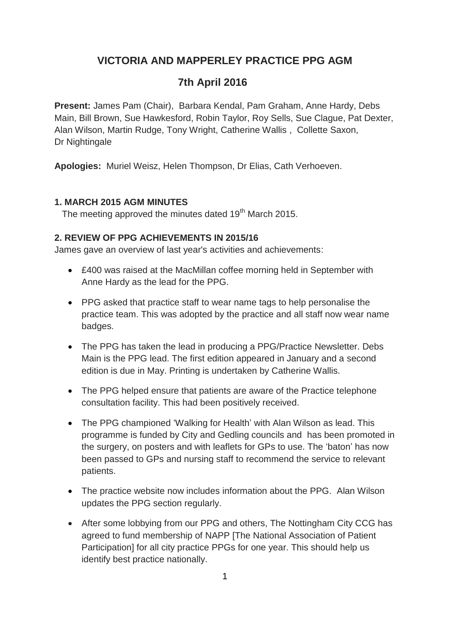# **VICTORIA AND MAPPERLEY PRACTICE PPG AGM**

## **7th April 2016**

**Present:** James Pam (Chair), Barbara Kendal, Pam Graham, Anne Hardy, Debs Main, Bill Brown, Sue Hawkesford, Robin Taylor, Roy Sells, Sue Clague, Pat Dexter, Alan Wilson, Martin Rudge, Tony Wright, Catherine Wallis , Collette Saxon, Dr Nightingale

**Apologies:** Muriel Weisz, Helen Thompson, Dr Elias, Cath Verhoeven.

#### **1. MARCH 2015 AGM MINUTES**

The meeting approved the minutes dated 19<sup>th</sup> March 2015.

### **2. REVIEW OF PPG ACHIEVEMENTS IN 2015/16**

James gave an overview of last year's activities and achievements:

- £400 was raised at the MacMillan coffee morning held in September with Anne Hardy as the lead for the PPG.
- PPG asked that practice staff to wear name tags to help personalise the practice team. This was adopted by the practice and all staff now wear name badges.
- The PPG has taken the lead in producing a PPG/Practice Newsletter. Debs Main is the PPG lead. The first edition appeared in January and a second edition is due in May. Printing is undertaken by Catherine Wallis.
- The PPG helped ensure that patients are aware of the Practice telephone consultation facility. This had been positively received.
- The PPG championed 'Walking for Health' with Alan Wilson as lead. This programme is funded by City and Gedling councils and has been promoted in the surgery, on posters and with leaflets for GPs to use. The 'baton' has now been passed to GPs and nursing staff to recommend the service to relevant patients.
- The practice website now includes information about the PPG. Alan Wilson updates the PPG section regularly.
- After some lobbying from our PPG and others, The Nottingham City CCG has agreed to fund membership of NAPP [The National Association of Patient Participation] for all city practice PPGs for one year. This should help us identify best practice nationally.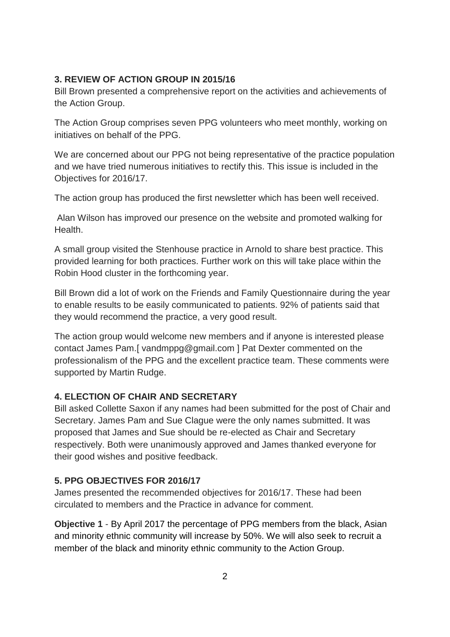### **3. REVIEW OF ACTION GROUP IN 2015/16**

Bill Brown presented a comprehensive report on the activities and achievements of the Action Group.

The Action Group comprises seven PPG volunteers who meet monthly, working on initiatives on behalf of the PPG.

We are concerned about our PPG not being representative of the practice population and we have tried numerous initiatives to rectify this. This issue is included in the Objectives for 2016/17.

The action group has produced the first newsletter which has been well received.

Alan Wilson has improved our presence on the website and promoted walking for **Health** 

A small group visited the Stenhouse practice in Arnold to share best practice. This provided learning for both practices. Further work on this will take place within the Robin Hood cluster in the forthcoming year.

Bill Brown did a lot of work on the Friends and Family Questionnaire during the year to enable results to be easily communicated to patients. 92% of patients said that they would recommend the practice, a very good result.

The action group would welcome new members and if anyone is interested please contact James Pam.[ vandmppg@gmail.com ] Pat Dexter commented on the professionalism of the PPG and the excellent practice team. These comments were supported by Martin Rudge.

## **4. ELECTION OF CHAIR AND SECRETARY**

Bill asked Collette Saxon if any names had been submitted for the post of Chair and Secretary. James Pam and Sue Clague were the only names submitted. It was proposed that James and Sue should be re-elected as Chair and Secretary respectively. Both were unanimously approved and James thanked everyone for their good wishes and positive feedback.

## **5. PPG OBJECTIVES FOR 2016/17**

James presented the recommended objectives for 2016/17. These had been circulated to members and the Practice in advance for comment.

**Objective 1** - By April 2017 the percentage of PPG members from the black, Asian and minority ethnic community will increase by 50%. We will also seek to recruit a member of the black and minority ethnic community to the Action Group.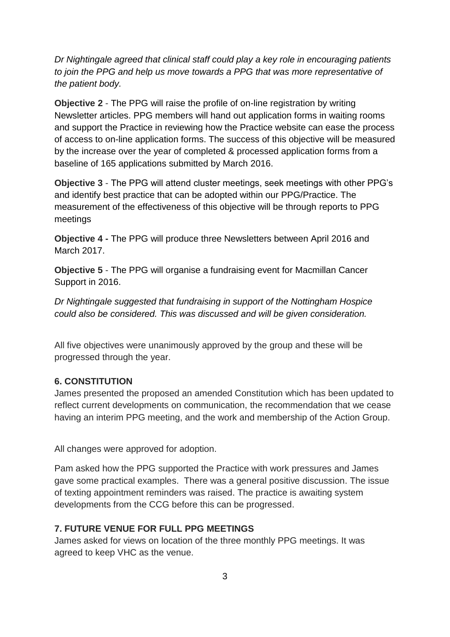*Dr Nightingale agreed that clinical staff could play a key role in encouraging patients to join the PPG and help us move towards a PPG that was more representative of the patient body.*

**Objective 2** - The PPG will raise the profile of on-line registration by writing Newsletter articles. PPG members will hand out application forms in waiting rooms and support the Practice in reviewing how the Practice website can ease the process of access to on-line application forms. The success of this objective will be measured by the increase over the year of completed & processed application forms from a baseline of 165 applications submitted by March 2016.

**Objective 3** - The PPG will attend cluster meetings, seek meetings with other PPG's and identify best practice that can be adopted within our PPG/Practice. The measurement of the effectiveness of this objective will be through reports to PPG meetings

**Objective 4 -** The PPG will produce three Newsletters between April 2016 and March 2017.

**Objective 5** - The PPG will organise a fundraising event for Macmillan Cancer Support in 2016.

*Dr Nightingale suggested that fundraising in support of the Nottingham Hospice could also be considered. This was discussed and will be given consideration.*

All five objectives were unanimously approved by the group and these will be progressed through the year.

#### **6. CONSTITUTION**

James presented the proposed an amended Constitution which has been updated to reflect current developments on communication, the recommendation that we cease having an interim PPG meeting, and the work and membership of the Action Group.

All changes were approved for adoption.

Pam asked how the PPG supported the Practice with work pressures and James gave some practical examples. There was a general positive discussion. The issue of texting appointment reminders was raised. The practice is awaiting system developments from the CCG before this can be progressed.

### **7. FUTURE VENUE FOR FULL PPG MEETINGS**

James asked for views on location of the three monthly PPG meetings. It was agreed to keep VHC as the venue.